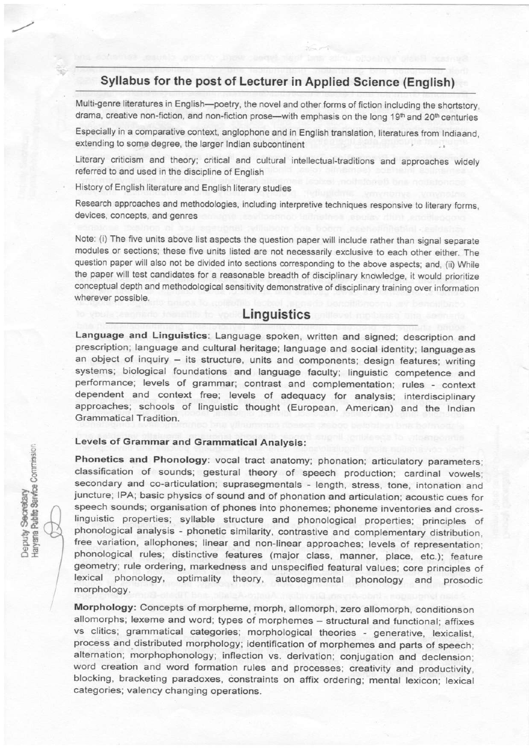# Syllabus for the post of Lecturer in Applied Science (English)

Multi-genre literatures in English--poetry, the novel and other forms of fiction including the shortstory, drama, creative non-fiction, and non-fiction prose—with emphasis on the long  $19<sup>th</sup>$  and  $20<sup>th</sup>$  centuries

Especially in a comparative context, anglophone and in English translation, literatures from Indiaand, extending to some degree, the larger lndian subcontinent

Literary criticism and theory; critical and cultural intellectual-tradjtions and approaches widely referred to and used in the discipline of English

History of English literature and English literary studies

Research approaches and methodologies, including intepretive techniques responsive to literary forms, devices, concepts, and genres

Note: (i) The five units above list aspects the question paper will include rather than signal separate modules or sections; these five units listed are not necessarily exclusive to each other either. The question paper will also not be divided into sections corresponding to the above aspects; and, (ii) While the paper will test candidates for a reasonable breadth of disciplinary knowledge, it would prioritize conceptual depth and methodological sensitivity demonstrative of disciplinary training over information wherever possible.

# **Linguistics**

Language and Linguistics: Language spoken, written and signed; description and prescription; language and cultural heritage; language and social identity; languageas an object of inquiry - its structure, units and components; design features; writing systems; biological foundations and language faculty; linguistic competence and performance; levels of grammar; contrast and complementation; rules - context dependent and context free; levels of adequacy for analysis; interdisciplinary approaches; schools of linguistic thought (European, American) and the lndian Grammatical Tradition.

## Levels of Grammar and Grammatical Analysis:

Phonetics and Phonology: vocal tract anatomy; phonation; articulatory parameters; classification of sounds; gestural theory of speech production; cardinal vowels; secondary and co-articulation; suprasegmentals - length, stress, tone, intonation and juncture; IPA; basic physics of sound and of phonation and articulation; acoustic cues for speech sounds; organisation of phones into phonemes; phoneme inventories and crosslinguistic properties; syllable structure and phonological properties; principles of phonological analysis - phonetic similarity, contrastive and complementary distribution, free variation, allophones; linear and non-linear approaches; levels of representation; phonological rules; distinctive features (major class, manner, place, etc.); feature geometry; rule ordering, markedness and unspecified featural values; core principles of<br>lexical phonology, optimality theory, autosegmental phonology and prosodic theory, autosegmental phonology and prosodic morphology.

Morphology: Concepts of morpheme, morph, allomorph, zero allomorph, conditionson allomorphs; lexeme and word; types of morphemes - structural and functional; affixes vs clitics; grammatical categories: morphological theories - generative, lexicalist, process and distributed morphology; identification of morphemes and parts of speech; alternation; morphophonology; inflection vs. derivation: conjugation and declension; word creation and word formation rules and processes; creativity and productivity, blocking, bracketing paradoxes, constraints on afiix ordering; mental lexicon; lexical categories; valency changing operations.

?-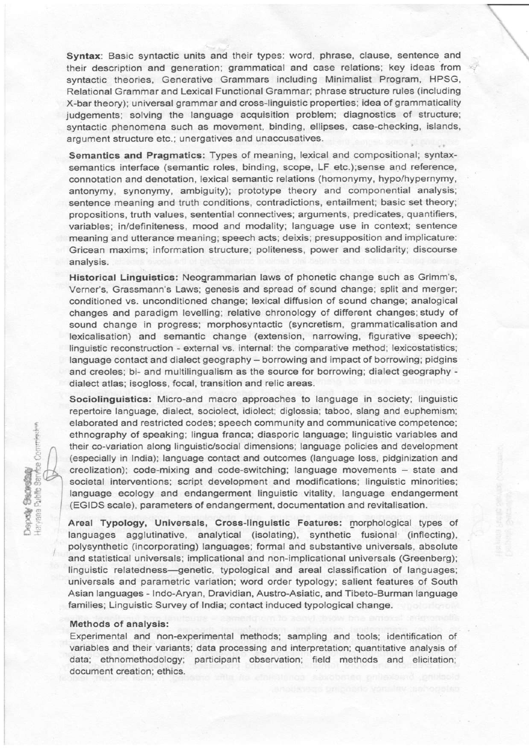Syntax: Basic syntactic units and their types: word, phrase, clause, sentence and their description and generation; grammatical and case relations; key ideas from syntactic theories, Generative Grammars including Minimalist Program, HPSG, Relational Grammar and Lexical Functional Grammar; phrase structure rules (including X-bar theory); universal grammar and cross-linguistic properties; idea of grammaticality judgements; solving the language acquisition problem; diagnostics of structure; syntactic phenomena such as movement, binding, ellipses, case-checking, islands, argument structure etc.; unergatives and unaccusatives.

 $\cdot$ 

Semantics and Pragmatics: Types of meaning, lexical and compositional; synlaxsemantics interface (semantic roles, binding, scope, LF etc.);sense and reference, connotation and denotation, lexical semantic relations (homonymy, hypo/hypernymy, antonymy, synonymy, ambiguity); prototype theory and componential analysis; sentence meaning and truth conditions, contradictions, entailment; basic set theory; propositions, truth values, sentential connectives: arguments, predicates, quantiflers, variables; in/definiteness, mood and modality; language use in context; sentence meaning and utterance meaning; speech acts; deixis; presupposition and implicature: Gricean maxims; inforrnation structure; politeness, power and solidarity; discourse analysis.

Historical Linguistics: Neogrammarian laws of phonetic change such as Grimm's, Verner's, Grassmann's Laws; genesis and spread of sound change; split and merger; conditioned vs. unconditioned change: lexical diffusion of sound change; analogical changes and paradigm levelling: relative chronology of different changes;study of sound change in progress; morphosyntactic (syncretism, grammaticalisation and lexicalisation) and semantic change (extension, narrowing, figurative speech); linguistic reconstruction - external vs. internal: the comparative method; lexicostatistics; language contact and dialect geography - borrowing and impact of borrowing; pidgins and creoles; bi- and multilingualism as the source for borrowing; dialect geography dialect atlas; isogloss, focal, transition and relic areas.

Sociolinguistica: Micro-and macro approaches to language in society; linguistic repertoire language, dialect, sociolect, idiolect; diglossia: taboo, slang and euphemism; elaborated and restricted codes: speech community and communicative competence; ethnography of speaking; lingua franca: diasporic language; linguistic variables and their co-variation along linguistic/social dimensions; language policies and development (especially in lndia); Ianguage contact and outcomes (language loss, pidginization and creolization); code-mixing and code-switching; language movements - state and societal interventions; script development and modifications; linguistic minorities; language ecology and endangerment linguistic vitality, language endangerment (EGIDS scale), parameters of endangerment, documentation and revitalisation.

Areal Typology, Universals, Cross-linguistic Features: morphological types of languages agglutinative, analytical (isolating), synthetic fusional (inflecting), polysynthetic (incorporaiing) languages; formal and substantive universals, absolute and statistical universals; implicational and non-implicational universals (Greenberg); linguistic relatedness-genetic, typological and areal classification of languages; universals and parametric variation; word order typology; salient features of South Asian languages - lndo-Aryan, Dravidian, Austro-Asiatic, and Tibeio-Burman language families; Linguistic Survey of lndia; contact induced typological change.

#### Methods of analysis:

Experimental and hon-experimental methods: sampling and tools; identification of variables and their variants; data processing and interpretation; quantitative analysis of data; ethnomethodology; participant observation; field methods and elicitation; document creation; ethics.